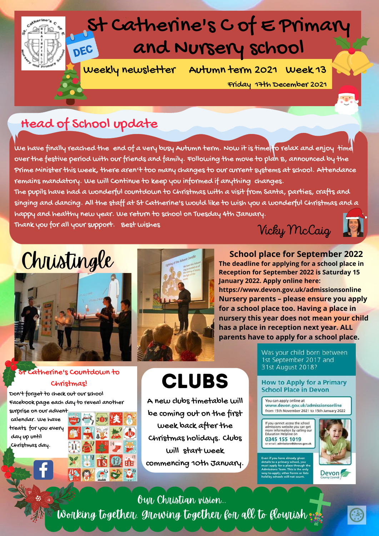

Friday 17th December 2021

### Head of School update

We have finally reached the end of a very busy Autumn term. Now it is time to relax and enjoy time over the festive period with our friends and family. Following the move to plan B, announced by the Prime Minister this week, there aren't too many changes to our current systems at school. Attendance remains mandatory. We will Continue to keep you informed if anything changes.

The pupils have had a wonderful countdown to Christmas with a visit from Santa, parties, crafts and singing and dancing. All the staff at St Catherine's would like to wish you a wonderful Christmas and a happy and healthy new year. We return to school on Tuesday 4th January.

Thank you for all your support. Best wishes

Vicky McCaig



## Christingle



#### St Catherine's Countdown to Christmas!

Don't forget to check out our school Facebook page each day to reveal another

surprise on our advent calendar. We have treats for you every day up until Christmas day.





**CLUBS** 

A new clubs timetable will

be coming out on the first week back after the Christmas holidays. Clubs will start week commencing 10th January.

**School place for September 2022 The deadline for applying for a school place in Reception for September 2022 is Saturday 15 January 2022. Apply online here: https://www.devon.gov.uk/admissionsonline Nursery parents – please ensure you apply for a school place too. Having a place in nursery this year does not mean your child has a place in reception next year. ALL parents have to apply for a school place.**

> Was your child born between 1st September 2017 and 31st August 2018?

#### **How to Apply for a Primary School Place in Devon**

You can apply online at www.devon.gov.uk/admissionsonline from 15th November 2021 to 15th January 2022

If you cannot access the school<br>admissions website you can get<br>more information by calling ou<br>Education Helpline on 0345 155 1019



Our Christian vision... Working together, growing together for all to flourish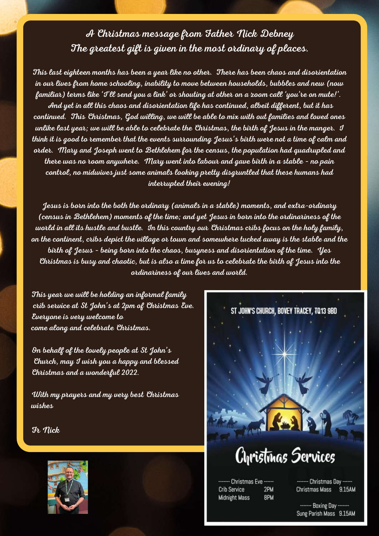A Christmas message from Father Nick Debney The greatest gift is given in the most ordinary of places.

This last eighteen months has been a year like no other. There has been chaos and disorientation in our lives from home schooling, inability to move between households, bubbles and new (now familiar) terms like 'I'll send you a link' or shouting at other on a zoom call 'you're on mute!'. And yet in all this chaos and disorientation life has continued, albeit different, but it has continued. This Christmas, God willing, we will be able to mix with out families and loved ones unlike last year; we will be able to celebrate the Christmas, the birth of Jesus in the manger. I think it is good to remember that the events surrounding Jesus's birth were not a time of calm and order. Mary and Joseph went to Bethlehem for the census, the population had quadrupled and there was no room anywhere. Mary went into labour and gave birth in a stable – no pain control, no midwives just some animals looking pretty disgruntled that these humans had interrupted their evening!

Jesus is born into the both the ordinary (animals in a stable) moments, and extra-ordinary (census in Bethlehem) moments of the time; and yet Jesus in born into the ordinariness of the world in all its hustle and bustle. In this country our Christmas cribs focus on the holy family, on the continent, cribs depict the village or town and somewhere tucked away is the stable and the birth of Jesus – being born into the chaos, busyness and disorientation of the time. Yes Christmas is busy and chaotic, but is also a time for us to celebrate the birth of Jesus into the ordinariness of our lives and world.

This year we will be holding an informal family crib service at St John's at 2pm of Christmas Eve. Everyone is very welcome to come along and celebrate Christmas.

On behalf of the lovely people at St John's Church, may I wish you a happy and blessed Christmas and a wonderful 2022.

With my prayers and my very best Christmas wishes

Fr Nick



# ST JOHN'S CHURCH, BOVEY TRACEY, TQ13 9BD Cyristmas Services

**Christmas Eve** 2PM **Crib Service Midnight Mass** 8PM

Christmas Day -Christmas Mass 9.15AM

------- Boxing Day --Sung Parish Mass 9.15AM